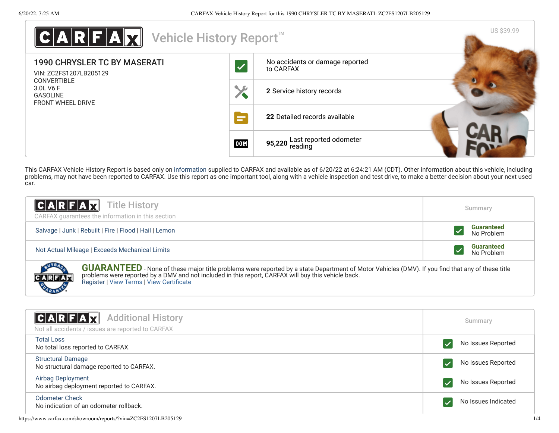

This CARFAX Vehicle History Report is based only on [information](http://www.carfax.com/company/vhr-data-sources) supplied to CARFAX and available as of 6/20/22 at 6:24:21 AM (CDT). Other information about this vehicle, including problems, may not have been reported to CARFAX. Use this report as one important tool, along with a vehicle inspection and test drive, to make a better decision about your next used car.

| C A R F A Z <br><b>Title History</b><br>CARFAX guarantees the information in this section                                                                                                                                                                                                        | Summary                         |  |
|--------------------------------------------------------------------------------------------------------------------------------------------------------------------------------------------------------------------------------------------------------------------------------------------------|---------------------------------|--|
| Salvage   Junk   Rebuilt   Fire   Flood   Hail   Lemon                                                                                                                                                                                                                                           | <b>Guaranteed</b><br>No Problem |  |
| Not Actual Mileage   Exceeds Mechanical Limits                                                                                                                                                                                                                                                   | <b>Guaranteed</b><br>No Problem |  |
| <b>GUARANTEED</b> - None of these major title problems were reported by a state Department of Motor Vehicles (DMV). If you find that any of these title problems were reported by a DMV and not included in this report, CARFAX wil<br>CARFAR<br><b>Register   View Terms   View Certificate</b> |                                 |  |

<span id="page-0-0"></span>

| C A R F A Z <br><b>Additional History</b><br>Not all accidents / issues are reported to CARFAX | Summary             |
|------------------------------------------------------------------------------------------------|---------------------|
| Total Loss<br>No total loss reported to CARFAX.                                                | No Issues Reported  |
| <b>Structural Damage</b><br>No structural damage reported to CARFAX.                           | No Issues Reported  |
| Airbag Deployment<br>No airbag deployment reported to CARFAX.                                  | No Issues Reported  |
| <b>Odometer Check</b><br>No indication of an odometer rollback.                                | No Issues Indicated |

https://www.carfax.com/showroom/reports/?vin=ZC2FS1207LB205129 1/4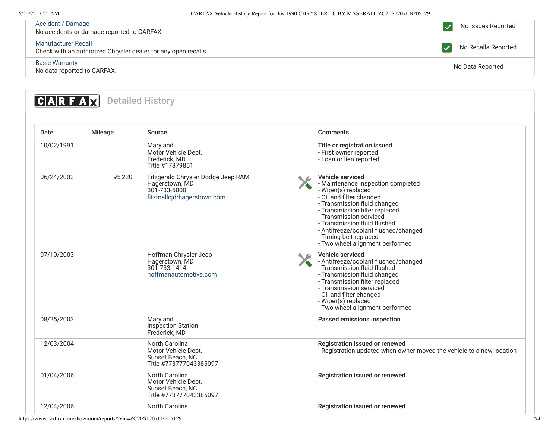## 6/20/22, 7:25 AM CARFAX Vehicle History Report for this 1990 CHRYSLER TC BY MASERATI: ZC2FS1207LB205129

| Accident / Damage<br>No accidents or damage reported to CARFAX.                       | No Issues Reported  |
|---------------------------------------------------------------------------------------|---------------------|
| Manufacturer Recall<br>Check with an authorized Chrysler dealer for any open recalls. | No Recalls Reported |
| <b>Basic Warranty</b><br>No data reported to CARFAX.                                  | No Data Reported    |

<span id="page-1-0"></span>

| Date       | <b>Mileage</b> | Source                                                                                             | <b>Comments</b>                                                                                                                                                                                                                                                                                                                             |
|------------|----------------|----------------------------------------------------------------------------------------------------|---------------------------------------------------------------------------------------------------------------------------------------------------------------------------------------------------------------------------------------------------------------------------------------------------------------------------------------------|
| 10/02/1991 |                | Maryland<br>Motor Vehicle Dept.<br>Frederick, MD<br>Title #17879851                                | Title or registration issued<br>- First owner reported<br>- Loan or lien reported                                                                                                                                                                                                                                                           |
| 06/24/2003 | 95,220         | Fitzgerald Chrysler Dodge Jeep RAM<br>Hagerstown, MD<br>301-733-5000<br>fitzmallcjdrhagerstown.com | Vehicle serviced<br>- Maintenance inspection completed<br>- Wiper(s) replaced<br>- Oil and filter changed<br>- Transmission fluid changed<br>- Transmission filter replaced<br>- Transmission serviced<br>- Transmission fluid flushed<br>- Antifreeze/coolant flushed/changed<br>- Timing belt replaced<br>- Two wheel alignment performed |
| 07/10/2003 |                | Hoffman Chrysler Jeep<br>Hagerstown, MD<br>301-733-1414<br>hoffmanautomotive.com                   | Vehicle serviced<br>- Antifreeze/coolant flushed/changed<br>- Transmission fluid flushed<br>- Transmission fluid changed<br>- Transmission filter replaced<br>- Transmission serviced<br>- Oil and filter changed<br>- Wiper(s) replaced<br>- Two wheel alignment performed                                                                 |
| 08/25/2003 |                | Maryland<br><b>Inspection Station</b><br>Frederick, MD                                             | Passed emissions inspection                                                                                                                                                                                                                                                                                                                 |
| 12/03/2004 |                | North Carolina<br>Motor Vehicle Dept.<br>Sunset Beach, NC<br>Title #773777043385097                | Registration issued or renewed<br>- Registration updated when owner moved the vehicle to a new location                                                                                                                                                                                                                                     |
| 01/04/2006 |                | North Carolina<br>Motor Vehicle Dept.<br>Sunset Beach, NC<br>Title #773777043385097                | Registration issued or renewed                                                                                                                                                                                                                                                                                                              |
| 12/04/2006 |                | <b>North Carolina</b>                                                                              | Registration issued or renewed                                                                                                                                                                                                                                                                                                              |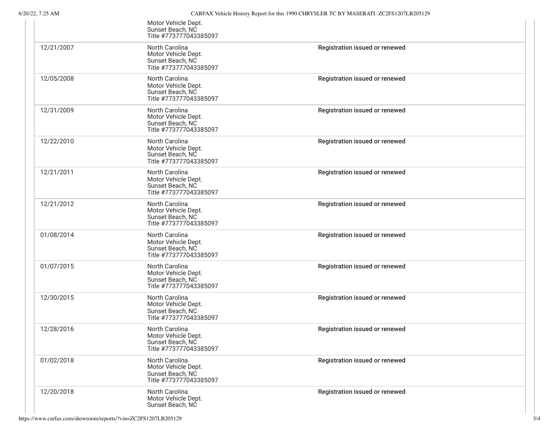|            | Motor Vehicle Dept.<br>Sunset Beach, NC<br>Title #773777043385097                          |                                |
|------------|--------------------------------------------------------------------------------------------|--------------------------------|
| 12/21/2007 | North Carolina<br>Motor Vehicle Dept.<br>Sunset Beach, NC<br>Title #773777043385097        | Registration issued or renewed |
| 12/05/2008 | North Carolina<br>Motor Vehicle Dept.<br>Sunset Beach, NC<br>Title #773777043385097        | Registration issued or renewed |
| 12/31/2009 | <b>North Carolina</b><br>Motor Vehicle Dept.<br>Sunset Beach, NC<br>Title #773777043385097 | Registration issued or renewed |
| 12/22/2010 | North Carolina<br>Motor Vehicle Dept.<br>Sunset Beach, NC<br>Title #773777043385097        | Registration issued or renewed |
| 12/21/2011 | <b>North Carolina</b><br>Motor Vehicle Dept.<br>Sunset Beach, NC<br>Title #773777043385097 | Registration issued or renewed |
| 12/21/2012 | North Carolina<br>Motor Vehicle Dept.<br>Sunset Beach, NC<br>Title #773777043385097        | Registration issued or renewed |
| 01/08/2014 | <b>North Carolina</b><br>Motor Vehicle Dept.<br>Sunset Beach, NC<br>Title #773777043385097 | Registration issued or renewed |
| 01/07/2015 | North Carolina<br>Motor Vehicle Dept.<br>Sunset Beach, NC<br>Title #773777043385097        | Registration issued or renewed |
| 12/30/2015 | North Carolina<br>Motor Vehicle Dept.<br>Sunset Beach, NC<br>Title #773777043385097        | Registration issued or renewed |
| 12/28/2016 | North Carolina<br>Motor Vehicle Dept.<br>Sunset Beach, NC<br>Title #773777043385097        | Registration issued or renewed |
| 01/02/2018 | <b>North Carolina</b><br>Motor Vehicle Dept.<br>Sunset Beach, NC<br>Title #773777043385097 | Registration issued or renewed |
| 12/20/2018 | North Carolina<br>Motor Vehicle Dept.<br>Sunset Beach, NC                                  | Registration issued or renewed |